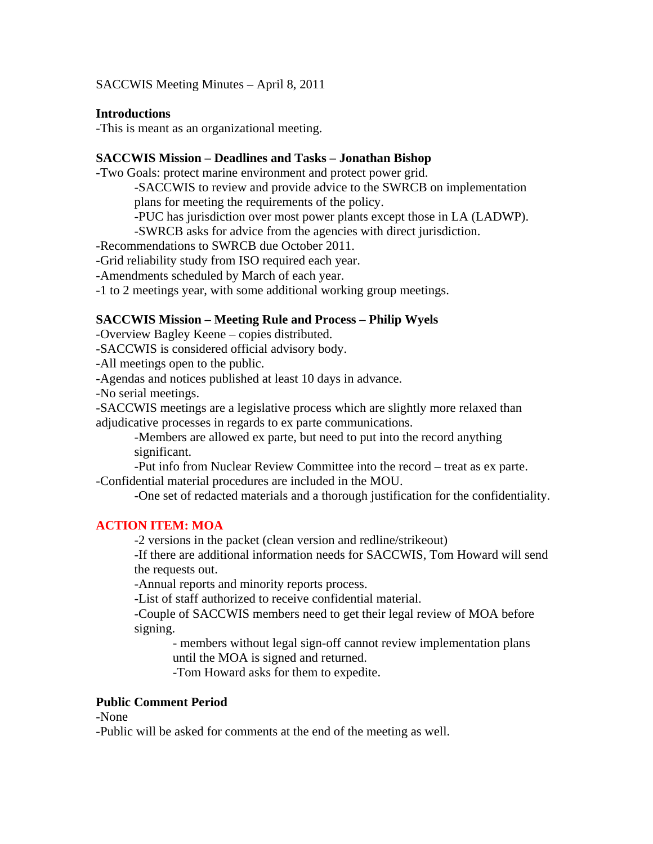SACCWIS Meeting Minutes – April 8, 2011

#### **Introductions**

-This is meant as an organizational meeting.

#### **SACCWIS Mission – Deadlines and Tasks – Jonathan Bishop**

-Two Goals: protect marine environment and protect power grid.

-SACCWIS to review and provide advice to the SWRCB on implementation plans for meeting the requirements of the policy.

-PUC has jurisdiction over most power plants except those in LA (LADWP).

-SWRCB asks for advice from the agencies with direct jurisdiction.

-Recommendations to SWRCB due October 2011.

-Grid reliability study from ISO required each year.

-Amendments scheduled by March of each year.

-1 to 2 meetings year, with some additional working group meetings.

#### **SACCWIS Mission – Meeting Rule and Process – Philip Wyels**

-Overview Bagley Keene – copies distributed.

-SACCWIS is considered official advisory body.

-All meetings open to the public.

-Agendas and notices published at least 10 days in advance.

-No serial meetings.

-SACCWIS meetings are a legislative process which are slightly more relaxed than adjudicative processes in regards to ex parte communications.

-Members are allowed ex parte, but need to put into the record anything significant.

-Put info from Nuclear Review Committee into the record – treat as ex parte. -Confidential material procedures are included in the MOU.

-One set of redacted materials and a thorough justification for the confidentiality.

#### **ACTION ITEM: MOA**

-2 versions in the packet (clean version and redline/strikeout)

-If there are additional information needs for SACCWIS, Tom Howard will send the requests out.

-Annual reports and minority reports process.

-List of staff authorized to receive confidential material.

-Couple of SACCWIS members need to get their legal review of MOA before signing.

- members without legal sign-off cannot review implementation plans until the MOA is signed and returned.

-Tom Howard asks for them to expedite.

#### **Public Comment Period**

-None

-Public will be asked for comments at the end of the meeting as well.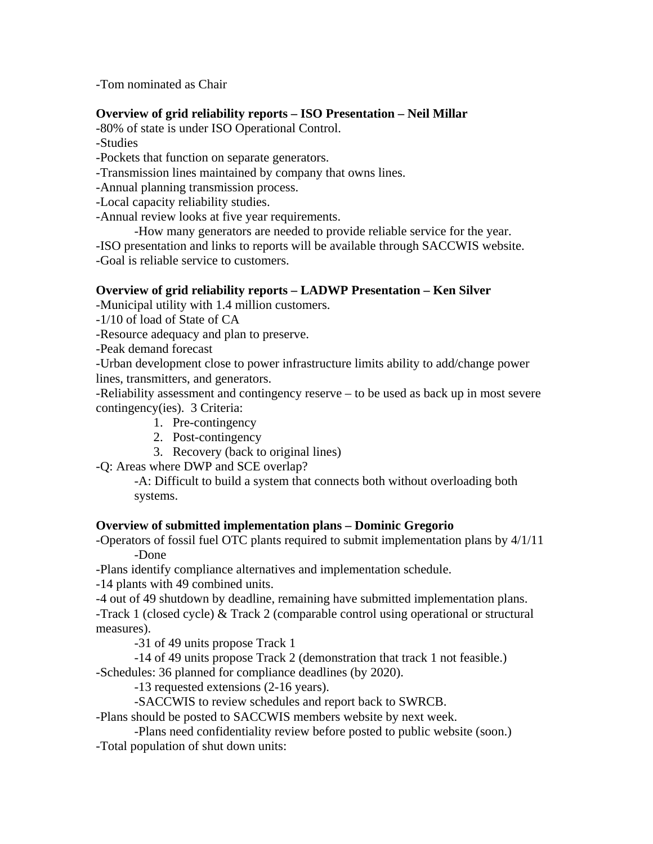-Tom nominated as Chair

## **Overview of grid reliability reports – ISO Presentation – Neil Millar**

-80% of state is under ISO Operational Control.

-Studies

-Pockets that function on separate generators.

-Transmission lines maintained by company that owns lines.

-Annual planning transmission process.

-Local capacity reliability studies.

-Annual review looks at five year requirements.

-How many generators are needed to provide reliable service for the year.

-ISO presentation and links to reports will be available through SACCWIS website.

-Goal is reliable service to customers.

## **Overview of grid reliability reports – LADWP Presentation – Ken Silver**

-Municipal utility with 1.4 million customers.

-1/10 of load of State of CA

-Resource adequacy and plan to preserve.

-Peak demand forecast

-Urban development close to power infrastructure limits ability to add/change power lines, transmitters, and generators.

-Reliability assessment and contingency reserve – to be used as back up in most severe contingency(ies). 3 Criteria:

- 1. Pre-contingency
- 2. Post-contingency
- 3. Recovery (back to original lines)

-Q: Areas where DWP and SCE overlap?

 -A: Difficult to build a system that connects both without overloading both systems.

### **Overview of submitted implementation plans – Dominic Gregorio**

-Operators of fossil fuel OTC plants required to submit implementation plans by 4/1/11 -Done

-Plans identify compliance alternatives and implementation schedule.

-14 plants with 49 combined units.

-4 out of 49 shutdown by deadline, remaining have submitted implementation plans.

-Track 1 (closed cycle) & Track 2 (comparable control using operational or structural measures).

-31 of 49 units propose Track 1

 -14 of 49 units propose Track 2 (demonstration that track 1 not feasible.) -Schedules: 36 planned for compliance deadlines (by 2020).

-13 requested extensions (2-16 years).

-SACCWIS to review schedules and report back to SWRCB.

-Plans should be posted to SACCWIS members website by next week.

 -Plans need confidentiality review before posted to public website (soon.) -Total population of shut down units: